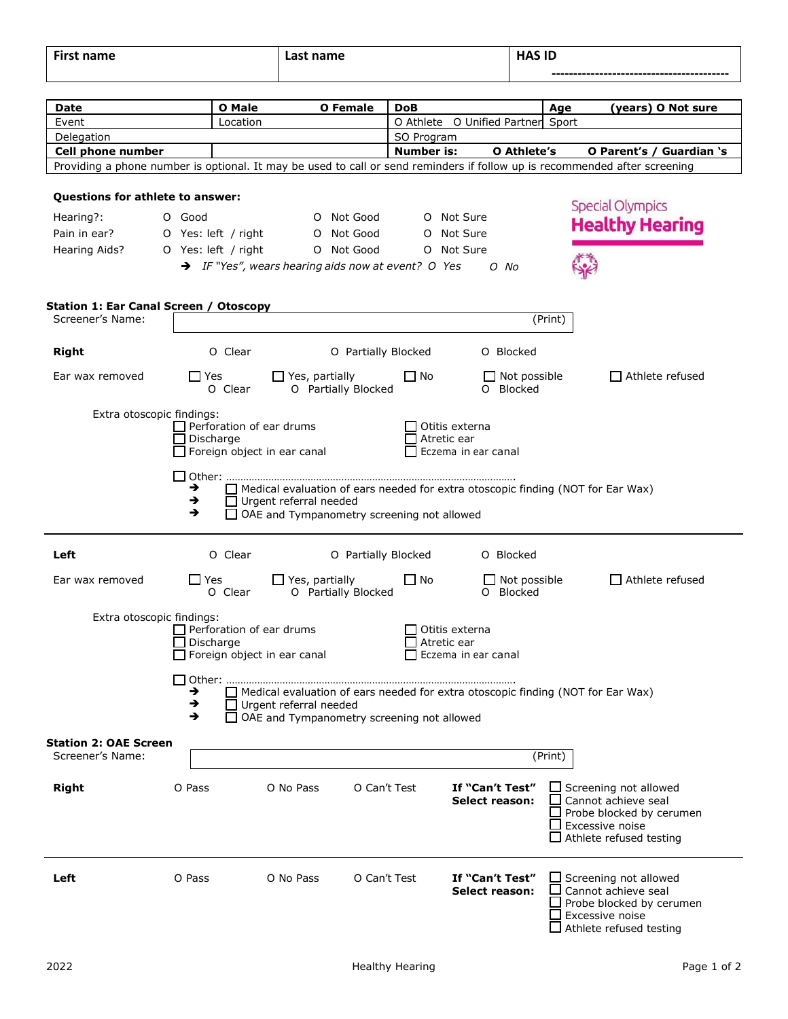| $- \cdot$<br><br>name<br>. | net<br>name<br>⊥ası<br>. | $\cdots$<br>HA'<br>שו<br>--- |  |  |  |
|----------------------------|--------------------------|------------------------------|--|--|--|
|                            |                          |                              |  |  |  |

| Date                                   |            | <b>O</b> Male       |                                    | <b>O</b> Female                                                | DoB               |                               |                                          | Age     | (years) O Not sure                                                                                                         |
|----------------------------------------|------------|---------------------|------------------------------------|----------------------------------------------------------------|-------------------|-------------------------------|------------------------------------------|---------|----------------------------------------------------------------------------------------------------------------------------|
| Event                                  |            | Location            |                                    |                                                                |                   |                               | O Athlete O Unified Partner Sport        |         |                                                                                                                            |
| Delegation                             |            |                     |                                    |                                                                | SO Program        |                               |                                          |         |                                                                                                                            |
| Cell phone number                      |            |                     |                                    |                                                                | <b>Number is:</b> |                               | O Athlete's                              |         | O Parent's / Guardian 's                                                                                                   |
|                                        |            |                     |                                    |                                                                |                   |                               |                                          |         | Providing a phone number is optional. It may be used to call or send reminders if follow up is recommended after screening |
| Questions for athlete to answer:       |            |                     |                                    |                                                                |                   |                               |                                          |         | <b>Special Olympics</b>                                                                                                    |
| Hearing?:                              | O Good     |                     |                                    | O Not Good                                                     |                   | O Not Sure                    |                                          |         |                                                                                                                            |
| Pain in ear?                           |            | O Yes: left / right |                                    | O Not Good                                                     | $\circ$           | Not Sure                      |                                          |         | <b>Healthy Hearing</b>                                                                                                     |
| Hearing Aids?                          |            | O Yes: left / right |                                    | O Not Good                                                     | O                 | Not Sure                      |                                          |         |                                                                                                                            |
|                                        |            |                     |                                    | $\rightarrow$ IF "Yes", wears hearing aids now at event? O Yes |                   |                               | O No                                     |         |                                                                                                                            |
|                                        |            |                     |                                    |                                                                |                   |                               |                                          |         |                                                                                                                            |
| Station 1: Ear Canal Screen / Otoscopy |            |                     |                                    |                                                                |                   |                               |                                          |         |                                                                                                                            |
| Screener's Name:                       |            |                     |                                    |                                                                |                   |                               |                                          | (Print) |                                                                                                                            |
|                                        |            |                     |                                    |                                                                |                   |                               |                                          |         |                                                                                                                            |
| Right                                  |            | O Clear             |                                    | O Partially Blocked                                            |                   |                               | O Blocked                                |         |                                                                                                                            |
| Ear wax removed                        | $\Box$ Yes | O Clear             | $\Box$ Yes, partially              | O Partially Blocked                                            | $\Box$ No         |                               | $\Box$ Not possible<br>O Blocked         |         | □ Athlete refused                                                                                                          |
|                                        |            |                     |                                    |                                                                |                   |                               |                                          |         |                                                                                                                            |
| Extra otoscopic findings:              |            |                     |                                    |                                                                |                   |                               |                                          |         |                                                                                                                            |
|                                        |            | Discharge           | $\Box$ Perforation of ear drums    |                                                                |                   | Otitis externa<br>Atretic ear |                                          |         |                                                                                                                            |
|                                        |            |                     | $\Box$ Foreign object in ear canal |                                                                |                   |                               | Eczema in ear canal                      |         |                                                                                                                            |
|                                        |            |                     |                                    |                                                                |                   |                               |                                          |         |                                                                                                                            |
|                                        | →          |                     |                                    |                                                                |                   |                               |                                          |         | $\Box$ Medical evaluation of ears needed for extra otoscopic finding (NOT for Ear Wax)                                     |
|                                        | →          |                     | $\Box$ Urgent referral needed      |                                                                |                   |                               |                                          |         |                                                                                                                            |
|                                        | →          |                     |                                    | OAE and Tympanometry screening not allowed                     |                   |                               |                                          |         |                                                                                                                            |
|                                        |            |                     |                                    |                                                                |                   |                               |                                          |         |                                                                                                                            |
| Left                                   |            | O Clear             |                                    | O Partially Blocked                                            |                   |                               | O Blocked                                |         |                                                                                                                            |
| Ear wax removed                        | L I Yes    |                     | $\Box$ Yes, partially              |                                                                | $\Box$ No         |                               | $\Box$ Not possible                      |         | $\Box$ Athlete refused                                                                                                     |
|                                        |            | O Clear             |                                    | O Partially Blocked                                            |                   |                               | O Blocked                                |         |                                                                                                                            |
| Extra otoscopic findings:              |            |                     |                                    |                                                                |                   |                               |                                          |         |                                                                                                                            |
|                                        |            |                     | Perforation of ear drums           |                                                                |                   | Otitis externa                |                                          |         |                                                                                                                            |
|                                        |            | Discharge           |                                    |                                                                |                   | Atretic ear                   |                                          |         |                                                                                                                            |
|                                        |            |                     | Foreign object in ear canal        |                                                                |                   |                               | Eczema in ear canal                      |         |                                                                                                                            |
|                                        |            | □ Other:            |                                    |                                                                |                   |                               |                                          |         |                                                                                                                            |
|                                        | →          |                     |                                    |                                                                |                   |                               |                                          |         | Medical evaluation of ears needed for extra otoscopic finding (NOT for Ear Wax)                                            |
|                                        | →          |                     | $\Box$ Urgent referral needed      |                                                                |                   |                               |                                          |         |                                                                                                                            |
|                                        | →          |                     |                                    | $\Box$ OAE and Tympanometry screening not allowed              |                   |                               |                                          |         |                                                                                                                            |
| <b>Station 2: OAE Screen</b>           |            |                     |                                    |                                                                |                   |                               |                                          |         |                                                                                                                            |
| Screener's Name:                       |            |                     |                                    |                                                                |                   |                               |                                          | (Print) |                                                                                                                            |
|                                        |            |                     |                                    |                                                                |                   |                               |                                          |         |                                                                                                                            |
| <b>Right</b>                           | O Pass     |                     | O No Pass                          | O Can't Test                                                   |                   |                               | If "Can't Test"<br><b>Select reason:</b> |         | $\Box$ Screening not allowed<br>Cannot achieve seal                                                                        |
|                                        |            |                     |                                    |                                                                |                   |                               |                                          |         | Probe blocked by cerumen                                                                                                   |
|                                        |            |                     |                                    |                                                                |                   |                               |                                          |         | Excessive noise                                                                                                            |
|                                        |            |                     |                                    |                                                                |                   |                               |                                          |         | $\Box$ Athlete refused testing                                                                                             |
|                                        |            |                     |                                    |                                                                |                   |                               |                                          |         |                                                                                                                            |
| Left                                   | O Pass     |                     | O No Pass                          | O Can't Test                                                   |                   |                               | If "Can't Test"                          |         | $\Box$ Screening not allowed                                                                                               |
|                                        |            |                     |                                    |                                                                |                   |                               | <b>Select reason:</b>                    |         | Cannot achieve seal                                                                                                        |
|                                        |            |                     |                                    |                                                                |                   |                               |                                          |         | Probe blocked by cerumen<br>Excessive noise                                                                                |
|                                        |            |                     |                                    |                                                                |                   |                               |                                          |         | Athlete refused testing                                                                                                    |